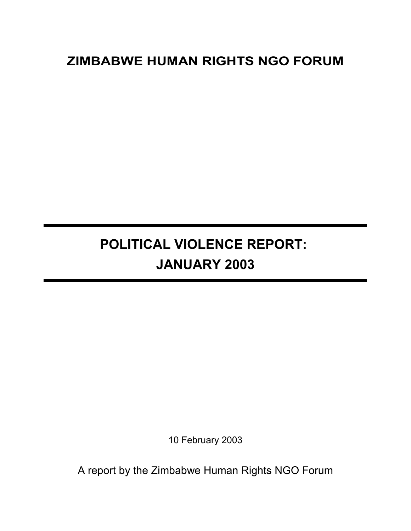## **ZIMBABWE HUMAN RIGHTS NGO FORUM**

# **POLITICAL VIOLENCE REPORT: JANUARY 2003**

10 February 2003

A report by the Zimbabwe Human Rights NGO Forum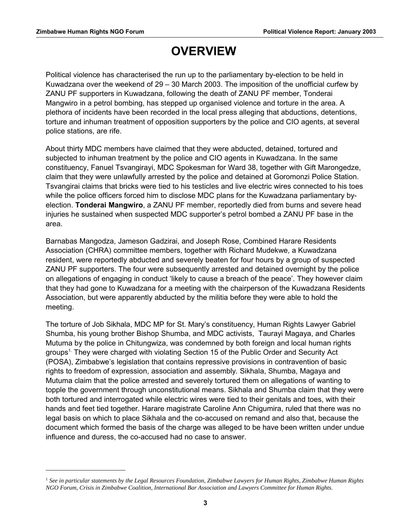## **OVERVIEW**

Political violence has characterised the run up to the parliamentary by-election to be held in Kuwadzana over the weekend of  $29 - 30$  March 2003. The imposition of the unofficial curfew by ZANU PF supporters in Kuwadzana, following the death of ZANU PF member, Tonderai Mangwiro in a petrol bombing, has stepped up organised violence and torture in the area. A plethora of incidents have been recorded in the local press alleging that abductions, detentions, torture and inhuman treatment of opposition supporters by the police and CIO agents, at several police stations, are rife.

About thirty MDC members have claimed that they were abducted, detained, tortured and subjected to inhuman treatment by the police and CIO agents in Kuwadzana. In the same constituency, Fanuel Tsvangirayi, MDC Spokesman for Ward 38, together with Gift Marongedze, claim that they were unlawfully arrested by the police and detained at Goromonzi Police Station. Tsvangirai claims that bricks were tied to his testicles and live electric wires connected to his toes while the police officers forced him to disclose MDC plans for the Kuwadzana parliamentary byelection. **Tonderai Mangwiro**, a ZANU PF member, reportedly died from burns and severe head injuries he sustained when suspected MDC supporter's petrol bombed a ZANU PF base in the area.

Barnabas Mangodza, Jameson Gadzirai, and Joseph Rose, Combined Harare Residents Association (CHRA) committee members, together with Richard Mudekwe, a Kuwadzana resident, were reportedly abducted and severely beaten for four hours by a group of suspected ZANU PF supporters. The four were subsequently arrested and detained overnight by the police on allegations of engaging in conduct 'likely to cause a breach of the peace'. They however claim that they had gone to Kuwadzana for a meeting with the chairperson of the Kuwadzana Residents Association, but were apparently abducted by the militia before they were able to hold the meeting.

The torture of Job Sikhala, MDC MP for St. Mary's constituency, Human Rights Lawyer Gabriel Shumba, his young brother Bishop Shumba, and MDC activists, Taurayi Magaya, and Charles Mutuma by the police in Chitungwiza, was condemned by both foreign and local human rights groups<sup>[1.](#page-2-0)</sup> They were charged with violating Section 15 of the Public Order and Security Act (POSA), Zimbabwe's legislation that contains repressive provisions in contravention of basic rights to freedom of expression, association and assembly. Sikhala, Shumba, Magaya and Mutuma claim that the police arrested and severely tortured them on allegations of wanting to topple the government through unconstitutional means. Sikhala and Shumba claim that they were both tortured and interrogated while electric wires were tied to their genitals and toes, with their hands and feet tied together. Harare magistrate Caroline Ann Chigumira, ruled that there was no legal basis on which to place Sikhala and the co-accused on remand and also that, because the document which formed the basis of the charge was alleged to be have been written under undue influence and duress, the co-accused had no case to answer.

<span id="page-2-0"></span><sup>1</sup>  *See in particular statements by the Legal Resources Foundation, Zimbabwe Lawyers for Human Rights, Zimbabwe Human Rights NGO Forum, Crisis in Zimbabwe Coalition, International Bar Association and Lawyers Committee for Human Rights.*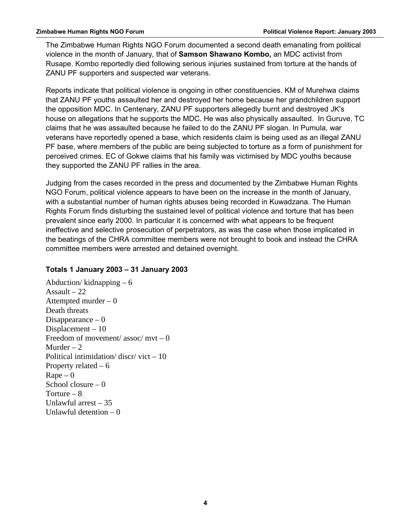The Zimbabwe Human Rights NGO Forum documented a second death emanating from political violence in the month of January, that of **Samson Shawano Kombo,** an MDC activist from Rusape. Kombo reportedly died following serious injuries sustained from torture at the hands of ZANU PF supporters and suspected war veterans.

Reports indicate that political violence is ongoing in other constituencies. KM of Murehwa claims that ZANU PF youths assaulted her and destroyed her home because her grandchildren support the opposition MDC. In Centenary, ZANU PF supporters allegedly burnt and destroyed JK's house on allegations that he supports the MDC. He was also physically assaulted. In Guruve, TC claims that he was assaulted because he failed to do the ZANU PF slogan. In Pumula, war veterans have reportedly opened a base, which residents claim is being used as an illegal ZANU PF base, where members of the public are being subjected to torture as a form of punishment for perceived crimes. EC of Gokwe claims that his family was victimised by MDC youths because they supported the ZANU PF rallies in the area.

Judging from the cases recorded in the press and documented by the Zimbabwe Human Rights NGO Forum, political violence appears to have been on the increase in the month of January, with a substantial number of human rights abuses being recorded in Kuwadzana. The Human Rights Forum finds disturbing the sustained level of political violence and torture that has been prevalent since early 2000. In particular it is concerned with what appears to be frequent ineffective and selective prosecution of perpetrators, as was the case when those implicated in the beatings of the CHRA committee members were not brought to book and instead the CHRA committee members were arrested and detained overnight.

### **Totals 1 January 2003 – 31 January 2003**

Abduction/ $k$ idnapping – 6 Assault  $-22$ Attempted murder – 0 Death threats Disappearance  $-0$ Displacement – 10 Freedom of movement/  $assoc/mvt - 0$ Murder  $-2$ Political intimidation/ $discr/vict - 10$ Property related  $-6$  $Rape - 0$ School closure  $-0$ Torture – 8 Unlawful arrest – 35 Unlawful detention  $-0$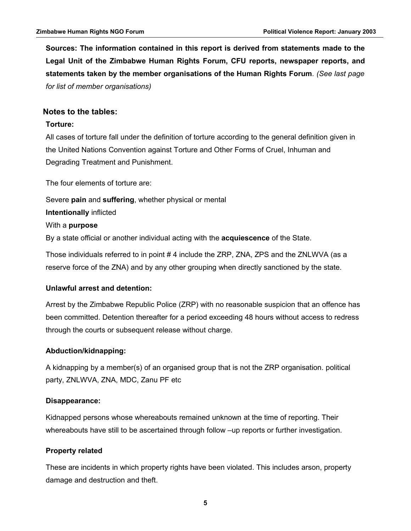**Sources: The information contained in this report is derived from statements made to the Legal Unit of the Zimbabwe Human Rights Forum, CFU reports, newspaper reports, and statements taken by the member organisations of the Human Rights Forum***. (See last page for list of member organisations)*

#### **Notes to the tables:**

#### **Torture:**

All cases of torture fall under the definition of torture according to the general definition given in the United Nations Convention against Torture and Other Forms of Cruel, Inhuman and Degrading Treatment and Punishment.

The four elements of torture are:

Severe **pain** and **suffering**, whether physical or mental **Intentionally** inflicted With a **purpose** By a state official or another individual acting with the **acquiescence** of the State.

Those individuals referred to in point # 4 include the ZRP, ZNA, ZPS and the ZNLWVA (as a reserve force of the ZNA) and by any other grouping when directly sanctioned by the state.

#### **Unlawful arrest and detention:**

Arrest by the Zimbabwe Republic Police (ZRP) with no reasonable suspicion that an offence has been committed. Detention thereafter for a period exceeding 48 hours without access to redress through the courts or subsequent release without charge.

#### **Abduction/kidnapping:**

A kidnapping by a member(s) of an organised group that is not the ZRP organisation. political party, ZNLWVA, ZNA, MDC, Zanu PF etc

#### **Disappearance:**

Kidnapped persons whose whereabouts remained unknown at the time of reporting. Their whereabouts have still to be ascertained through follow –up reports or further investigation.

#### **Property related**

These are incidents in which property rights have been violated. This includes arson, property damage and destruction and theft.

**5**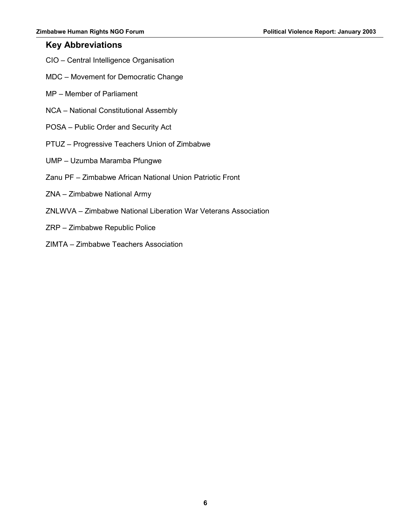## **Key Abbreviations**

- CIO Central Intelligence Organisation
- MDC Movement for Democratic Change
- MP Member of Parliament
- NCA National Constitutional Assembly
- POSA Public Order and Security Act
- PTUZ Progressive Teachers Union of Zimbabwe
- UMP Uzumba Maramba Pfungwe
- Zanu PF Zimbabwe African National Union Patriotic Front
- ZNA Zimbabwe National Army
- ZNLWVA Zimbabwe National Liberation War Veterans Association
- ZRP Zimbabwe Republic Police
- ZIMTA Zimbabwe Teachers Association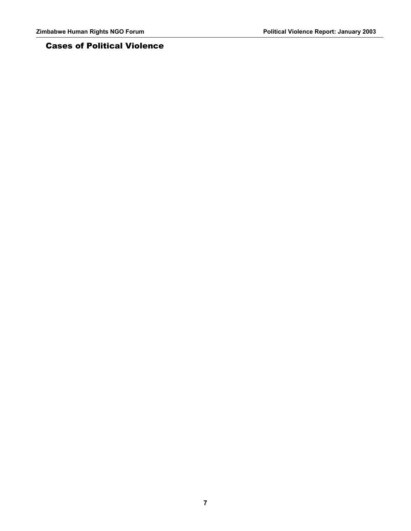## Cases of Political Violence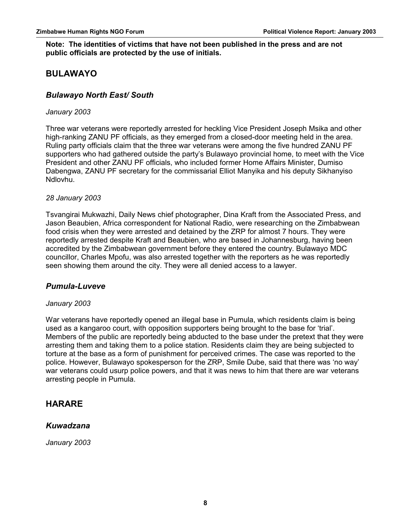#### **Note: The identities of victims that have not been published in the press and are not public officials are protected by the use of initials.**

## **BULAWAYO**

## *Bulawayo North East/ South*

#### *January 2003*

Three war veterans were reportedly arrested for heckling Vice President Joseph Msika and other high-ranking ZANU PF officials, as they emerged from a closed-door meeting held in the area. Ruling party officials claim that the three war veterans were among the five hundred ZANU PF supporters who had gathered outside the party's Bulawayo provincial home, to meet with the Vice President and other ZANU PF officials, who included former Home Affairs Minister, Dumiso Dabengwa, ZANU PF secretary for the commissarial Elliot Manyika and his deputy Sikhanyiso Ndlovhu.

#### *28 January 2003*

Tsvangirai Mukwazhi, Daily News chief photographer, Dina Kraft from the Associated Press, and Jason Beaubien, Africa correspondent for National Radio, were researching on the Zimbabwean food crisis when they were arrested and detained by the ZRP for almost 7 hours. They were reportedly arrested despite Kraft and Beaubien, who are based in Johannesburg, having been accredited by the Zimbabwean government before they entered the country. Bulawayo MDC councillor, Charles Mpofu, was also arrested together with the reporters as he was reportedly seen showing them around the city. They were all denied access to a lawyer.

### *Pumula-Luveve*

#### *January 2003*

War veterans have reportedly opened an illegal base in Pumula, which residents claim is being used as a kangaroo court, with opposition supporters being brought to the base for 'trial'. Members of the public are reportedly being abducted to the base under the pretext that they were arresting them and taking them to a police station. Residents claim they are being subjected to torture at the base as a form of punishment for perceived crimes. The case was reported to the police. However, Bulawayo spokesperson for the ZRP, Smile Dube, said that there was 'no way' war veterans could usurp police powers, and that it was news to him that there are war veterans arresting people in Pumula.

## **HARARE**

### *Kuwadzana*

*January 2003*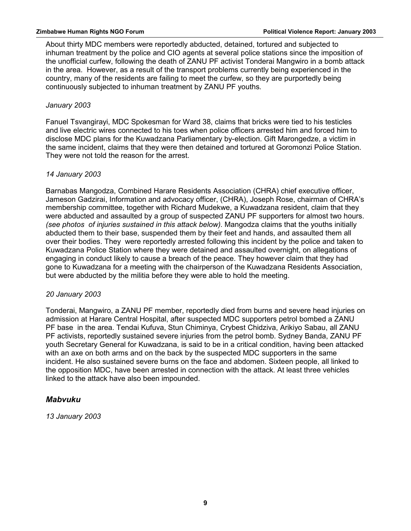About thirty MDC members were reportedly abducted, detained, tortured and subjected to inhuman treatment by the police and CIO agents at several police stations since the imposition of the unofficial curfew, following the death of ZANU PF activist Tonderai Mangwiro in a bomb attack in the area. However, as a result of the transport problems currently being experienced in the country, many of the residents are failing to meet the curfew, so they are purportedly being continuously subjected to inhuman treatment by ZANU PF youths*.* 

### *January 2003*

Fanuel Tsvangirayi, MDC Spokesman for Ward 38, claims that bricks were tied to his testicles and live electric wires connected to his toes when police officers arrested him and forced him to disclose MDC plans for the Kuwadzana Parliamentary by-election. Gift Marongedze, a victim in the same incident, claims that they were then detained and tortured at Goromonzi Police Station. They were not told the reason for the arrest.

### *14 January 2003*

Barnabas Mangodza, Combined Harare Residents Association (CHRA) chief executive officer, Jameson Gadzirai, Information and advocacy officer, (CHRA), Joseph Rose, chairman of CHRA's membership committee, together with Richard Mudekwe, a Kuwadzana resident, claim that they were abducted and assaulted by a group of suspected ZANU PF supporters for almost two hours. *(see photos of injuries sustained in this attack below).* Mangodza claims that the youths initially abducted them to their base, suspended them by their feet and hands, and assaulted them all over their bodies. They were reportedly arrested following this incident by the police and taken to Kuwadzana Police Station where they were detained and assaulted overnight, on allegations of engaging in conduct likely to cause a breach of the peace. They however claim that they had gone to Kuwadzana for a meeting with the chairperson of the Kuwadzana Residents Association, but were abducted by the militia before they were able to hold the meeting.

### *20 January 2003*

Tonderai, Mangwiro, a ZANU PF member, reportedly died from burns and severe head injuries on admission at Harare Central Hospital, after suspected MDC supporters petrol bombed a ZANU PF base in the area. Tendai Kufuva, Stun Chiminya, Crybest Chidziva, Arikiyo Sabau, all ZANU PF activists, reportedly sustained severe injuries from the petrol bomb. Sydney Banda, ZANU PF youth Secretary General for Kuwadzana, is said to be in a critical condition, having been attacked with an axe on both arms and on the back by the suspected MDC supporters in the same incident. He also sustained severe burns on the face and abdomen. Sixteen people, all linked to the opposition MDC, have been arrested in connection with the attack. At least three vehicles linked to the attack have also been impounded.

## *Mabvuku*

*13 January 2003*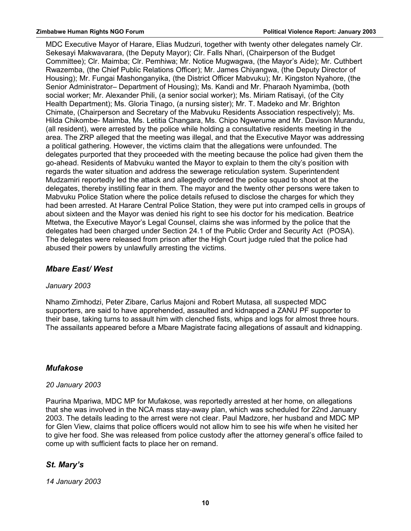MDC Executive Mayor of Harare, Elias Mudzuri, together with twenty other delegates namely Clr. Sekesayi Makwavarara, (the Deputy Mayor); Clr. Falls Nhari, (Chairperson of the Budget Committee); Clr. Maimba; Clr. Pemhiwa; Mr. Notice Mugwagwa, (the Mayor's Aide); Mr. Cuthbert Rwazemba, (the Chief Public Relations Officer); Mr. James Chiyangwa, (the Deputy Director of Housing); Mr. Fungai Mashonganyika, (the District Officer Mabvuku); Mr. Kingston Nyahore, (the Senior Administrator– Department of Housing); Ms. Kandi and Mr. Pharaoh Nyamimba, (both social worker; Mr. Alexander Phili, (a senior social worker); Ms. Miriam Ratisayi, (of the City Health Department); Ms. Gloria Tinago, (a nursing sister); Mr. T. Madeko and Mr. Brighton Chimate, (Chairperson and Secretary of the Mabvuku Residents Association respectively); Ms. Hilda Chikombe- Maimba, Ms. Letitia Changara, Ms. Chipo Ngwerume and Mr. Davison Murandu, (all resident), were arrested by the police while holding a consultative residents meeting in the area. The ZRP alleged that the meeting was illegal, and that the Executive Mayor was addressing a political gathering. However, the victims claim that the allegations were unfounded. The delegates purported that they proceeded with the meeting because the police had given them the go-ahead. Residents of Mabvuku wanted the Mayor to explain to them the city's position with regards the water situation and address the sewerage reticulation system. Superintendent Mudzamiri reportedly led the attack and allegedly ordered the police squad to shoot at the delegates, thereby instilling fear in them. The mayor and the twenty other persons were taken to Mabvuku Police Station where the police details refused to disclose the charges for which they had been arrested. At Harare Central Police Station, they were put into cramped cells in groups of about sixteen and the Mayor was denied his right to see his doctor for his medication. Beatrice Mtetwa, the Executive Mayor's Legal Counsel, claims she was informed by the police that the delegates had been charged under Section 24.1 of the Public Order and Security Act (POSA). The delegates were released from prison after the High Court judge ruled that the police had abused their powers by unlawfully arresting the victims.

## *Mbare East/ West*

### *January 2003*

Nhamo Zimhodzi, Peter Zibare, Carlus Majoni and Robert Mutasa, all suspected MDC supporters, are said to have apprehended, assaulted and kidnapped a ZANU PF supporter to their base, taking turns to assault him with clenched fists, whips and logs for almost three hours. The assailants appeared before a Mbare Magistrate facing allegations of assault and kidnapping.

## *Mufakose*

### *20 January 2003*

Paurina Mpariwa, MDC MP for Mufakose, was reportedly arrested at her home, on allegations that she was involved in the NCA mass stay-away plan, which was scheduled for 22nd January 2003. The details leading to the arrest were not clear. Paul Madzore, her husband and MDC MP for Glen View, claims that police officers would not allow him to see his wife when he visited her to give her food. She was released from police custody after the attorney general's office failed to come up with sufficient facts to place her on remand.

## *St. Mary's*

*14 January 2003*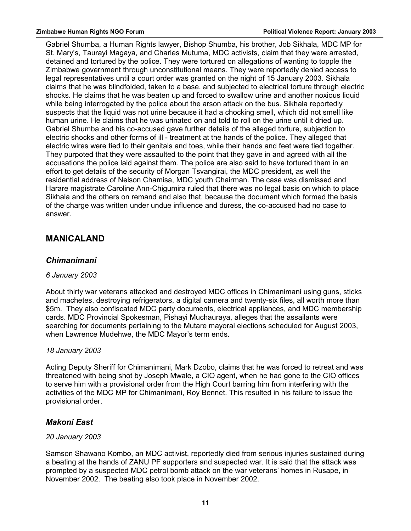Gabriel Shumba, a Human Rights lawyer, Bishop Shumba, his brother, Job Sikhala, MDC MP for St. Mary's, Taurayi Magaya, and Charles Mutuma, MDC activists, claim that they were arrested, detained and tortured by the police. They were tortured on allegations of wanting to topple the Zimbabwe government through unconstitutional means. They were reportedly denied access to legal representatives until a court order was granted on the night of 15 January 2003. Sikhala claims that he was blindfolded, taken to a base, and subjected to electrical torture through electric shocks. He claims that he was beaten up and forced to swallow urine and another noxious liquid while being interrogated by the police about the arson attack on the bus. Sikhala reportedly suspects that the liquid was not urine because it had a chocking smell, which did not smell like human urine. He claims that he was urinated on and told to roll on the urine until it dried up. Gabriel Shumba and his co-accused gave further details of the alleged torture, subjection to electric shocks and other forms of ill - treatment at the hands of the police. They alleged that electric wires were tied to their genitals and toes, while their hands and feet were tied together. They purpoted that they were assaulted to the point that they gave in and agreed with all the accusations the police laid against them. The police are also said to have tortured them in an effort to get details of the security of Morgan Tsvangirai, the MDC president, as well the residential address of Nelson Chamisa, MDC youth Chairman. The case was dismissed and Harare magistrate Caroline Ann-Chigumira ruled that there was no legal basis on which to place Sikhala and the others on remand and also that, because the document which formed the basis of the charge was written under undue influence and duress, the co-accused had no case to answer.

## **MANICALAND**

## *Chimanimani*

### *6 January 2003*

About thirty war veterans attacked and destroyed MDC offices in Chimanimani using guns, sticks and machetes, destroying refrigerators, a digital camera and twenty-six files, all worth more than \$5m. They also confiscated MDC party documents, electrical appliances, and MDC membership cards. MDC Provincial Spokesman, Pishayi Muchauraya, alleges that the assailants were searching for documents pertaining to the Mutare mayoral elections scheduled for August 2003, when Lawrence Mudehwe, the MDC Mayor's term ends.

## *18 January 2003*

Acting Deputy Sheriff for Chimanimani, Mark Dzobo, claims that he was forced to retreat and was threatened with being shot by Joseph Mwale, a CIO agent, when he had gone to the CIO offices to serve him with a provisional order from the High Court barring him from interfering with the activities of the MDC MP for Chimanimani, Roy Bennet. This resulted in his failure to issue the provisional order.

## *Makoni East*

### *20 January 2003*

Samson Shawano Kombo, an MDC activist, reportedly died from serious injuries sustained during a beating at the hands of ZANU PF supporters and suspected war. It is said that the attack was prompted by a suspected MDC petrol bomb attack on the war veterans' homes in Rusape, in November 2002. The beating also took place in November 2002.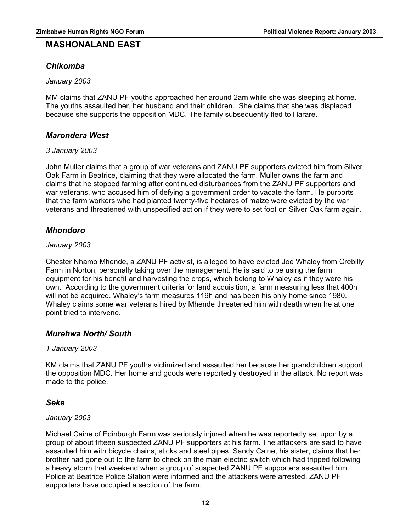## **MASHONALAND EAST**

## *Chikomba*

*January 2003*

MM claims that ZANU PF youths approached her around 2am while she was sleeping at home. The youths assaulted her, her husband and their children. She claims that she was displaced because she supports the opposition MDC. The family subsequently fled to Harare.

## *Marondera West*

#### *3 January 2003*

John Muller claims that a group of war veterans and ZANU PF supporters evicted him from Silver Oak Farm in Beatrice, claiming that they were allocated the farm. Muller owns the farm and claims that he stopped farming after continued disturbances from the ZANU PF supporters and war veterans, who accused him of defying a government order to vacate the farm. He purports that the farm workers who had planted twenty-five hectares of maize were evicted by the war veterans and threatened with unspecified action if they were to set foot on Silver Oak farm again.

## *Mhondoro*

#### *January 2003*

Chester Nhamo Mhende, a ZANU PF activist, is alleged to have evicted Joe Whaley from Crebilly Farm in Norton, personally taking over the management. He is said to be using the farm equipment for his benefit and harvesting the crops, which belong to Whaley as if they were his own. According to the government criteria for land acquisition, a farm measuring less that 400h will not be acquired. Whaley's farm measures 119h and has been his only home since 1980. Whaley claims some war veterans hired by Mhende threatened him with death when he at one point tried to intervene.

### *Murehwa North/ South*

### *1 January 2003*

KM claims that ZANU PF youths victimized and assaulted her because her grandchildren support the opposition MDC. Her home and goods were reportedly destroyed in the attack. No report was made to the police.

### *Seke*

#### *January 2003*

Michael Caine of Edinburgh Farm was seriously injured when he was reportedly set upon by a group of about fifteen suspected ZANU PF supporters at his farm. The attackers are said to have assaulted him with bicycle chains, sticks and steel pipes. Sandy Caine, his sister, claims that her brother had gone out to the farm to check on the main electric switch which had tripped following a heavy storm that weekend when a group of suspected ZANU PF supporters assaulted him. Police at Beatrice Police Station were informed and the attackers were arrested. ZANU PF supporters have occupied a section of the farm.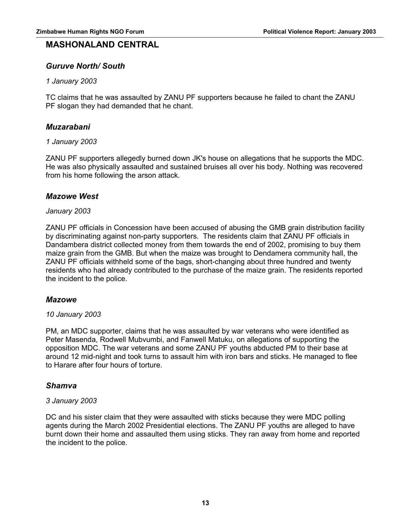## **MASHONALAND CENTRAL**

### *Guruve North/ South*

#### *1 January 2003*

TC claims that he was assaulted by ZANU PF supporters because he failed to chant the ZANU PF slogan they had demanded that he chant.

#### *Muzarabani*

#### *1 January 2003*

ZANU PF supporters allegedly burned down JK's house on allegations that he supports the MDC. He was also physically assaulted and sustained bruises all over his body. Nothing was recovered from his home following the arson attack.

### *Mazowe West*

#### *January 2003*

ZANU PF officials in Concession have been accused of abusing the GMB grain distribution facility by discriminating against non-party supporters. The residents claim that ZANU PF officials in Dandambera district collected money from them towards the end of 2002, promising to buy them maize grain from the GMB. But when the maize was brought to Dendamera community hall, the ZANU PF officials withheld some of the bags, short-changing about three hundred and twenty residents who had already contributed to the purchase of the maize grain. The residents reported the incident to the police.

#### *Mazowe*

#### *10 January 2003*

PM, an MDC supporter, claims that he was assaulted by war veterans who were identified as Peter Masenda, Rodwell Mubvumbi, and Fanwell Matuku, on allegations of supporting the opposition MDC. The war veterans and some ZANU PF youths abducted PM to their base at around 12 mid-night and took turns to assault him with iron bars and sticks. He managed to flee to Harare after four hours of torture.

#### *Shamva*

#### *3 January 2003*

DC and his sister claim that they were assaulted with sticks because they were MDC polling agents during the March 2002 Presidential elections. The ZANU PF youths are alleged to have burnt down their home and assaulted them using sticks. They ran away from home and reported the incident to the police.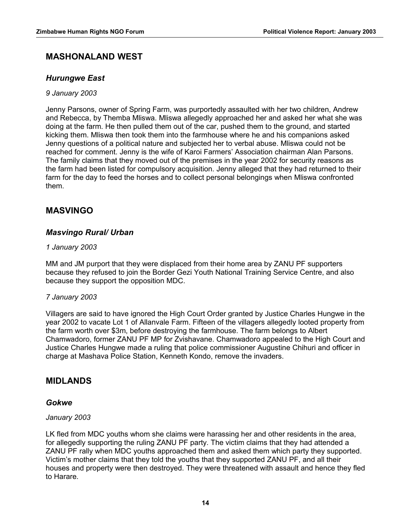## **MASHONALAND WEST**

## *Hurungwe East*

#### *9 January 2003*

Jenny Parsons, owner of Spring Farm, was purportedly assaulted with her two children, Andrew and Rebecca, by Themba Mliswa. Mliswa allegedly approached her and asked her what she was doing at the farm. He then pulled them out of the car, pushed them to the ground, and started kicking them. Mliswa then took them into the farmhouse where he and his companions asked Jenny questions of a political nature and subjected her to verbal abuse. Mliswa could not be reached for comment. Jenny is the wife of Karoi Farmers' Association chairman Alan Parsons. The family claims that they moved out of the premises in the year 2002 for security reasons as the farm had been listed for compulsory acquisition. Jenny alleged that they had returned to their farm for the day to feed the horses and to collect personal belongings when Mliswa confronted them.

## **MASVINGO**

## *Masvingo Rural/ Urban*

#### *1 January 2003*

MM and JM purport that they were displaced from their home area by ZANU PF supporters because they refused to join the Border Gezi Youth National Training Service Centre, and also because they support the opposition MDC.

### *7 January 2003*

Villagers are said to have ignored the High Court Order granted by Justice Charles Hungwe in the year 2002 to vacate Lot 1 of Allanvale Farm. Fifteen of the villagers allegedly looted property from the farm worth over \$3m, before destroying the farmhouse. The farm belongs to Albert Chamwadoro, former ZANU PF MP for Zvishavane. Chamwadoro appealed to the High Court and Justice Charles Hungwe made a ruling that police commissioner Augustine Chihuri and officer in charge at Mashava Police Station, Kenneth Kondo, remove the invaders.

## **MIDLANDS**

### *Gokwe*

### *January 2003*

LK fled from MDC youths whom she claims were harassing her and other residents in the area, for allegedly supporting the ruling ZANU PF party. The victim claims that they had attended a ZANU PF rally when MDC youths approached them and asked them which party they supported. Victim's mother claims that they told the youths that they supported ZANU PF, and all their houses and property were then destroyed. They were threatened with assault and hence they fled to Harare.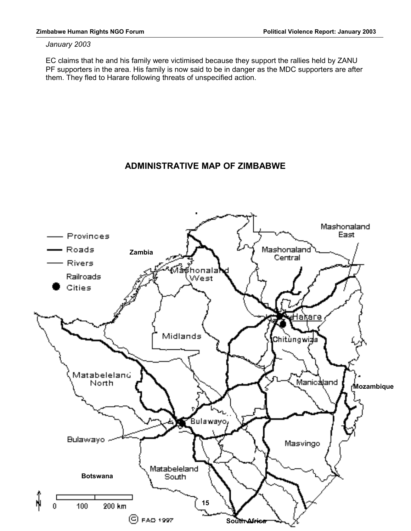#### *January 2003*

EC claims that he and his family were victimised because they support the rallies held by ZANU PF supporters in the area. His family is now said to be in danger as the MDC supporters are after them. They fled to Harare following threats of unspecified action.

## **ADMINISTRATIVE MAP OF ZIMBABWE**

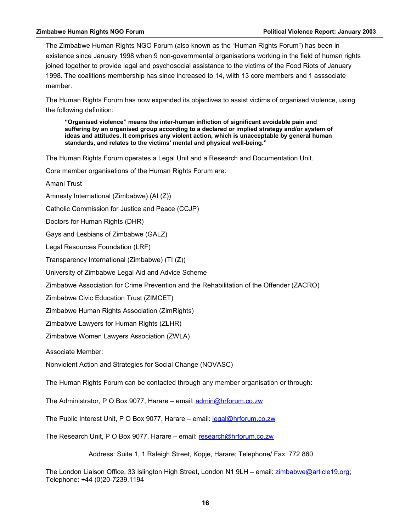The Zimbabwe Human Rights NGO Forum (also known as the "Human Rights Forum") has been in existence since January 1998 when 9 non-governmental organisations working in the field of human rights joined together to provide legal and psychosocial assistance to the victims of the Food Riots of January 1998. The coalitions membership has since increased to 14, wiith 13 core members and 1 asssociate member.

The Human Rights Forum has now expanded its objectives to assist victims of organised violence, using the following definition:

**"Organised violence" means the inter-human infliction of significant avoidable pain and suffering by an organised group according to a declared or implied strategy and/or system of ideas and attitudes. It comprises any violent action, which is unacceptable by general human standards, and relates to the victims' mental and physical well-being."**

The Human Rights Forum operates a Legal Unit and a Research and Documentation Unit.

Core member organisations of the Human Rights Forum are:

Amani Trust

Amnesty International (Zimbabwe) (AI (Z))

Catholic Commission for Justice and Peace (CCJP)

Doctors for Human Rights (DHR)

Gays and Lesbians of Zimbabwe (GALZ)

Legal Resources Foundation (LRF)

Transparency International (Zimbabwe) (TI (Z))

University of Zimbabwe Legal Aid and Advice Scheme

Zimbabwe Association for Crime Prevention and the Rehabilitation of the Offender (ZACRO)

Zimbabwe Civic Education Trust (ZIMCET)

Zimbabwe Human Rights Association (ZimRights)

Zimbabwe Lawyers for Human Rights (ZLHR)

Zimbabwe Women Lawyers Association (ZWLA)

Associate Member:

Nonviolent Action and Strategies for Social Change (NOVASC)

The Human Rights Forum can be contacted through any member organisation or through:

The Administrator, P O Box 9077, Harare – email: [admin@hrforum.co.zw](mailto:admin@hrforum.co.zw)

The Public Interest Unit, P O Box 9077, Harare – email: [legal@hrforum.co.zw](mailto:legal@hrforum.co.zw)

The Research Unit, P O Box 9077, Harare – email: [research@hrforum.co.zw](mailto:research@hrforum.co.zw)

Address: Suite 1, 1 Raleigh Street, Kopje, Harare; Telephone/ Fax: 772 860

The London Liaison Office, 33 Islington High Street, London N1 9LH - email: [zimbabwe@article19.org;](mailto:zimbabwe@article19.org) Telephone: +44 (0)20-7239.1194